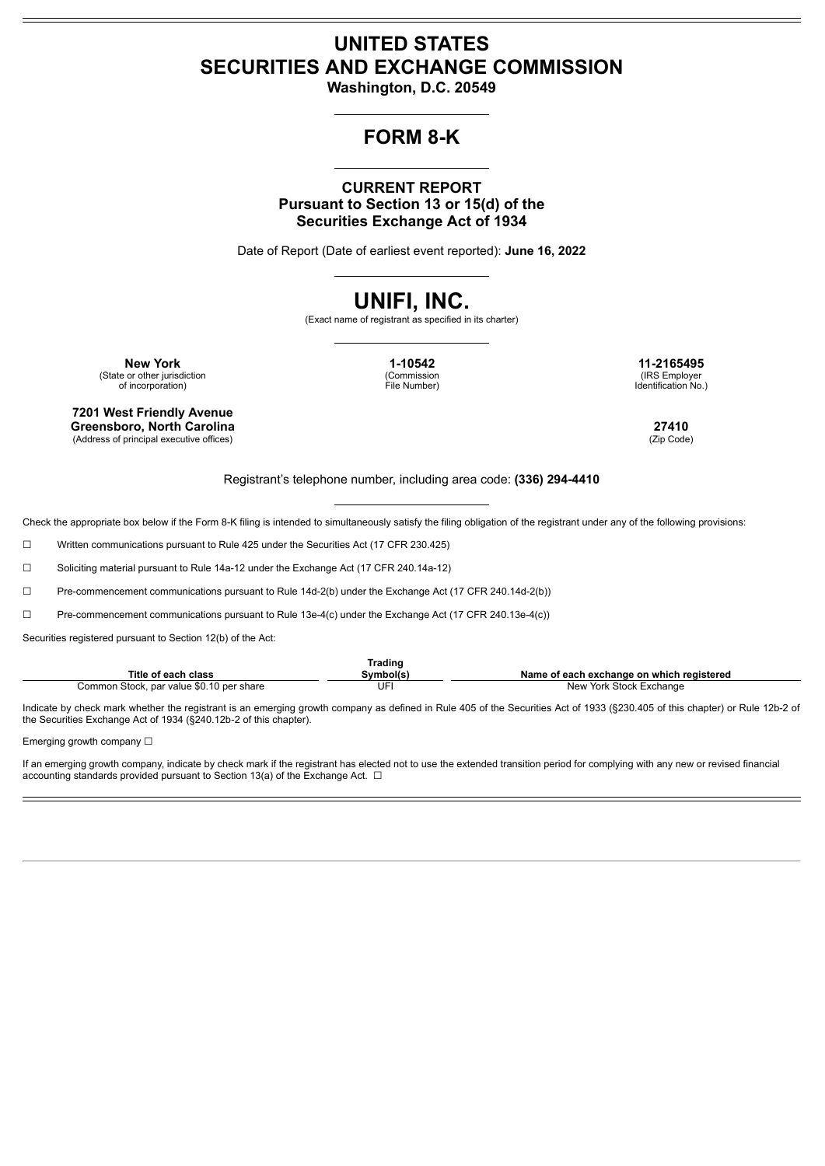## **UNITED STATES SECURITIES AND EXCHANGE COMMISSION**

**Washington, D.C. 20549**

## **FORM 8-K**

### **CURRENT REPORT Pursuant to Section 13 or 15(d) of the Securities Exchange Act of 1934**

Date of Report (Date of earliest event reported): **June 16, 2022**

# **UNIFI, INC.**

(Exact name of registrant as specified in its charter)

**New York 1-10542 11-2165495** (State or other jurisdiction of incorporation)

**7201 West Friendly Avenue Greensboro, North Carolina 27410**

(Address of principal executive offices)

(Commission File Number)

(IRS Employer Identification No.)

Registrant's telephone number, including area code: **(336) 294-4410**

Check the appropriate box below if the Form 8-K filing is intended to simultaneously satisfy the filing obligation of the registrant under any of the following provisions:

☐ Written communications pursuant to Rule 425 under the Securities Act (17 CFR 230.425)

☐ Soliciting material pursuant to Rule 14a-12 under the Exchange Act (17 CFR 240.14a-12)

☐ Pre-commencement communications pursuant to Rule 14d-2(b) under the Exchange Act (17 CFR 240.14d-2(b))

☐ Pre-commencement communications pursuant to Rule 13e-4(c) under the Exchange Act (17 CFR 240.13e-4(c))

Securities registered pursuant to Section 12(b) of the Act:

|                                                        | <b>frading</b> |                                                          |
|--------------------------------------------------------|----------------|----------------------------------------------------------|
| Title<br>' each class                                  | :\/mhol/c      | e on which reaistered<br>Name<br>⊦exchanɑe<br>each<br>റീ |
| . value \$0<br>Common Stock,<br>⊤share<br>u per<br>nar | JF             | Stock<br>New<br>York<br>-xchange                         |

Indicate by check mark whether the registrant is an emerging growth company as defined in Rule 405 of the Securities Act of 1933 (§230.405 of this chapter) or Rule 12b-2 of the Securities Exchange Act of 1934 (§240.12b‑2 of this chapter).

Emerging growth company □

If an emerging growth company, indicate by check mark if the registrant has elected not to use the extended transition period for complying with any new or revised financial accounting standards provided pursuant to Section 13(a) of the Exchange Act.  $\Box$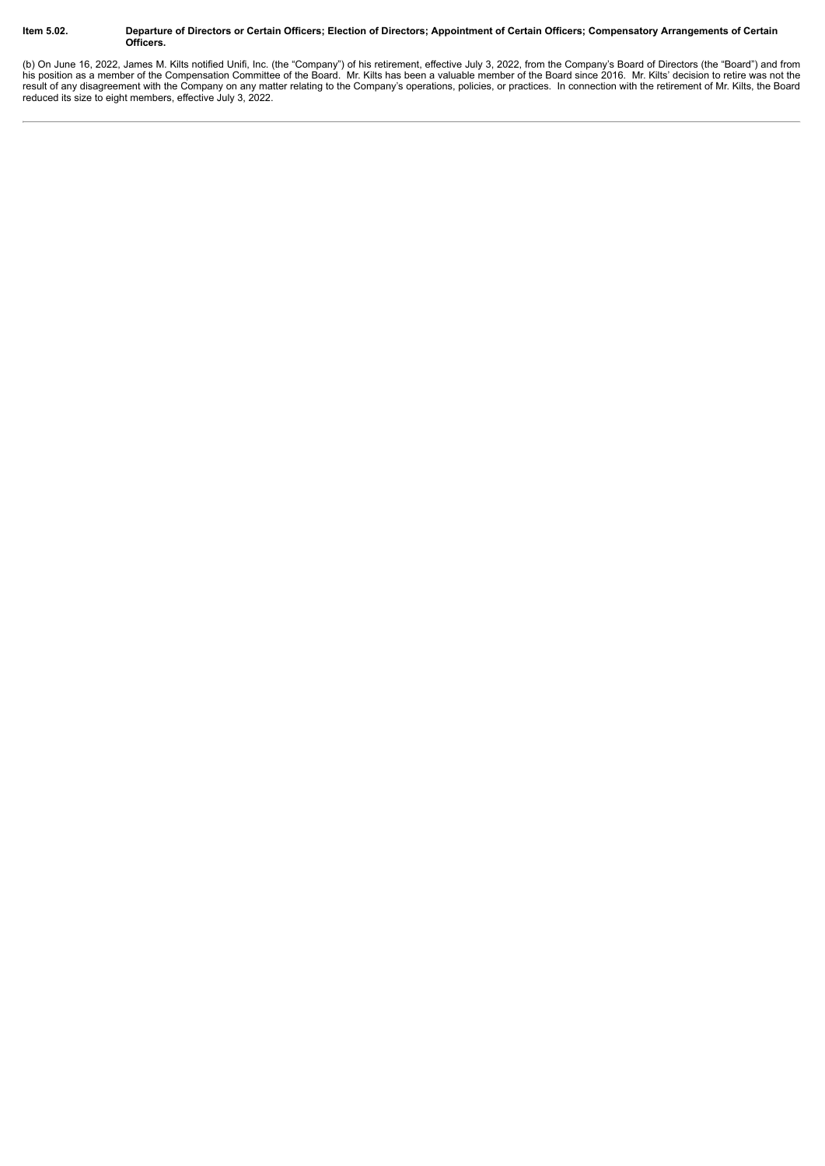#### Item 5.02. Departure of Directors or Certain Officers; Election of Directors; Appointment of Certain Officers; Compensatory Arrangements of Certain **Officers.**

(b) On June 16, 2022, James M. Kilts notified Unifi, Inc. (the "Company") of his retirement, effective July 3, 2022, from the Company's Board of Directors (the "Board") and from his position as a member of the Compensation Committee of the Board. Mr. Kilts has been a valuable member of the Board since 2016. Mr. Kilts' decision to retire was not the result of any disagreement with the Company on any matter relating to the Company's operations, policies, or practices. In connection with the retirement of Mr. Kilts, the Board reduced its size to eight members, effective July 3, 2022.